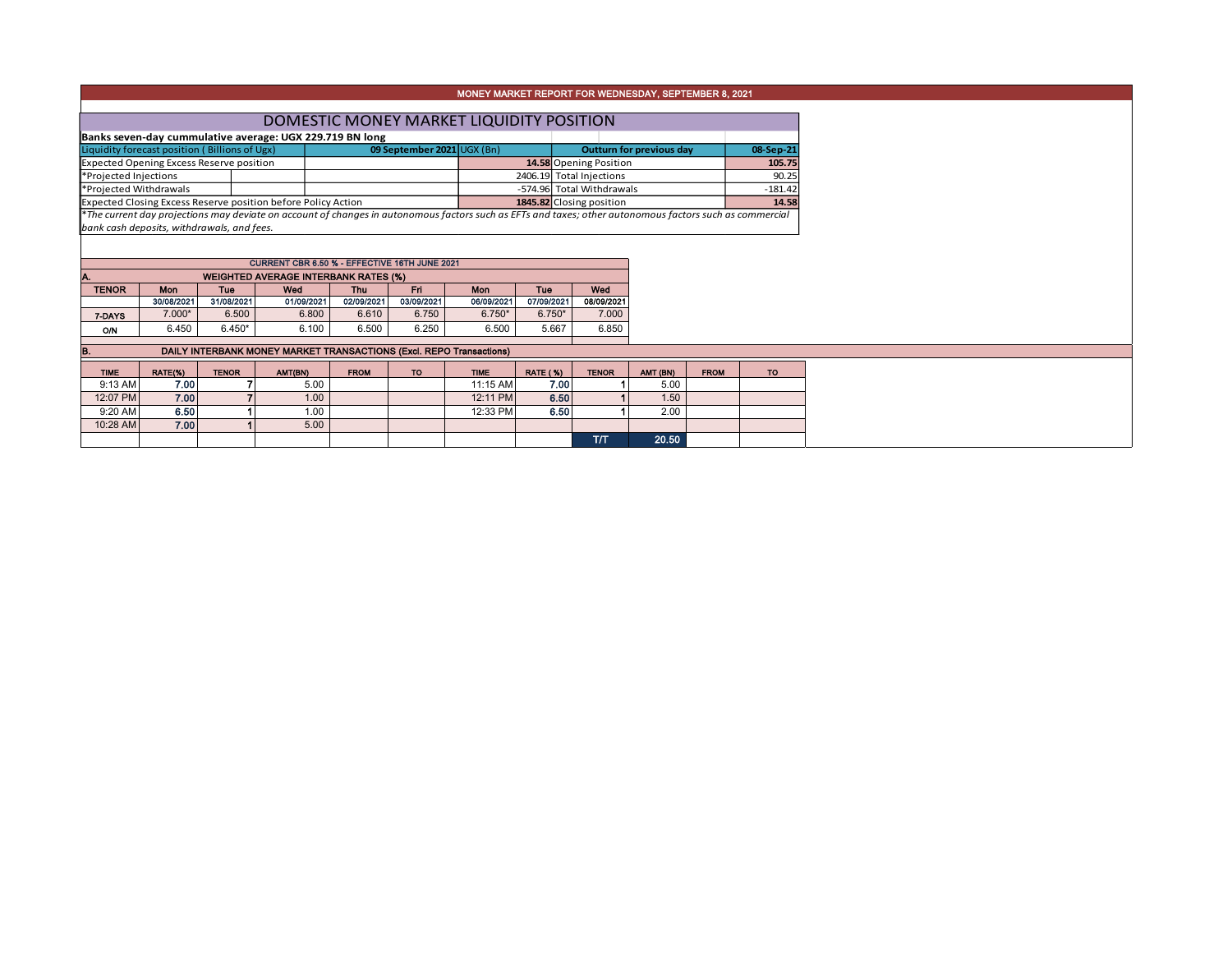## MONEY MARKET REPORT FOR WEDNESDAY, SEPTEMBER 8, 2021

| DOMESTIC MONEY MARKET LIQUIDITY POSITION                      |  |                                                                                                                                                          |  |                           |                          |           |  |  |  |  |  |
|---------------------------------------------------------------|--|----------------------------------------------------------------------------------------------------------------------------------------------------------|--|---------------------------|--------------------------|-----------|--|--|--|--|--|
| Banks seven-day cummulative average: UGX 229.719 BN long      |  |                                                                                                                                                          |  |                           |                          |           |  |  |  |  |  |
| Liquidity forecast position (Billions of Ugx)                 |  | 09 September 2021 UGX (Bn)                                                                                                                               |  |                           | Outturn for previous day | 08-Sep-21 |  |  |  |  |  |
| <b>Expected Opening Excess Reserve position</b>               |  |                                                                                                                                                          |  | 14.58 Opening Position    |                          | 105.75    |  |  |  |  |  |
| *Projected Injections                                         |  |                                                                                                                                                          |  | 2406.19 Total Injections  |                          | 90.25     |  |  |  |  |  |
| *Projected Withdrawals                                        |  |                                                                                                                                                          |  | -574.96 Total Withdrawals |                          | $-181.42$ |  |  |  |  |  |
| Expected Closing Excess Reserve position before Policy Action |  |                                                                                                                                                          |  | 1845.82 Closing position  |                          | 14.58     |  |  |  |  |  |
|                                                               |  | *The current day projections may deviate on account of changes in autonomous factors such as EFTs and taxes; other autonomous factors such as commercial |  |                           |                          |           |  |  |  |  |  |

*bank cash deposits, withdrawals, and fees.*

| CURRENT CBR 6.50 % - EFFECTIVE 16TH JUNE 2021     |            |            |            |            |            |            |            |            |  |  |  |  |  |  |
|---------------------------------------------------|------------|------------|------------|------------|------------|------------|------------|------------|--|--|--|--|--|--|
| <b>WEIGHTED AVERAGE INTERBANK RATES (%)</b><br>A. |            |            |            |            |            |            |            |            |  |  |  |  |  |  |
| <b>TENOR</b>                                      | <b>Mon</b> | Tue        | Wed        | Thu        | Eri        | Mon        | Tue        | Wed        |  |  |  |  |  |  |
|                                                   | 30/08/2021 | 31/08/2021 | 01/09/2021 | 02/09/2021 | 03/09/2021 | 06/09/2021 | 07/09/2021 | 08/09/2021 |  |  |  |  |  |  |
| 7-DAYS                                            | $7.000*$   | 6.500      | 6.800      | 6.610      | 6.750      | $6.750*$   | $6.750*$   | 7.000      |  |  |  |  |  |  |
| Ο'N                                               | 6.450      | $6.450*$   | 6.100      | 6.500      | 6.250      | 6.500      | 5.667      | 6.850      |  |  |  |  |  |  |
|                                                   |            |            |            |            |            |            |            |            |  |  |  |  |  |  |

**B.** DAILY INTERBANK MONEY MARKET TRANSACTIONS (Excl. REPO Transactions)

| <b>TIME</b> | RATE(%) | <b>TENOR</b> | AMT(BN) | <b>FROM</b> | <b>TO</b> | <b>TIME</b> | <b>RATE (%)</b> | <b>TENOR</b> | AMT (BN) | <b>FROM</b> | TO . |
|-------------|---------|--------------|---------|-------------|-----------|-------------|-----------------|--------------|----------|-------------|------|
| 9:13 AM     | 7.00    |              | 5.00    |             |           | 11:15 AM    | 7.00            |              | 5.00     |             |      |
| 12:07 PM    | 7.00    |              | 1.00    |             |           | 12:11 PM    | 6.50            |              | 1.50     |             |      |
| 9:20 AM     | 6.50    |              | 1.00    |             |           | 12:33 PM    | 6.50            |              | 2.00     |             |      |
| 10:28 AM    | 7.00    |              | 5.00    |             |           |             |                 |              |          |             |      |
|             |         |              |         |             |           |             |                 | TT           | 20.50    |             |      |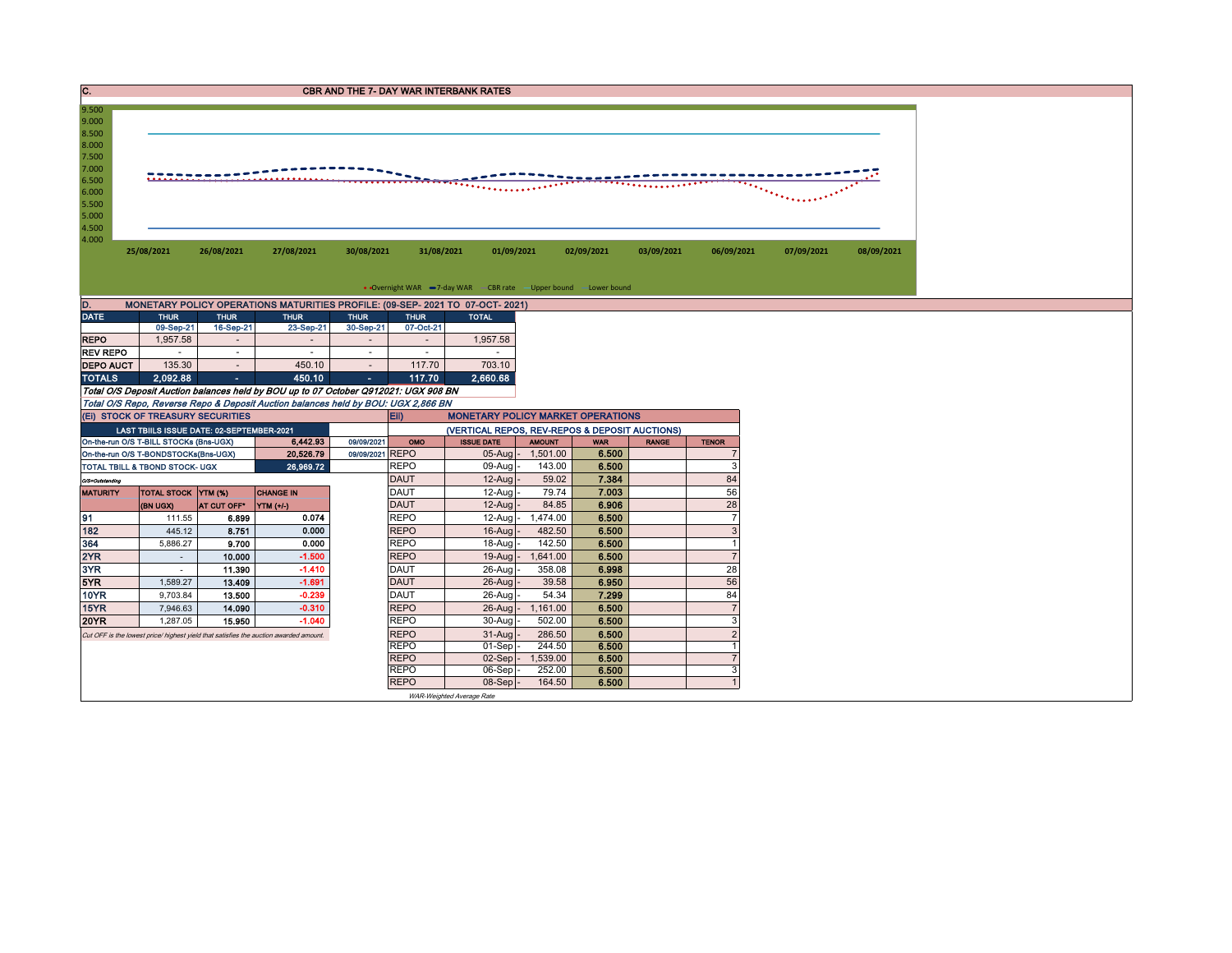| IC.                                                                                             |                                                                                       |                     |                                                                                     | <b>CBR AND THE 7- DAY WAR INTERBANK RATES</b> |                            |                                                                  |                   |                |              |                     |            |            |
|-------------------------------------------------------------------------------------------------|---------------------------------------------------------------------------------------|---------------------|-------------------------------------------------------------------------------------|-----------------------------------------------|----------------------------|------------------------------------------------------------------|-------------------|----------------|--------------|---------------------|------------|------------|
| 9.500<br>9.000<br>8.500<br>8.000<br>7.500<br>7.000<br>6.500<br>6.000<br>5.500<br>5.000<br>4.500 |                                                                                       |                     |                                                                                     |                                               |                            |                                                                  |                   |                |              |                     |            |            |
| 4.000                                                                                           | 25/08/2021                                                                            | 26/08/2021          | 27/08/2021                                                                          | 30/08/2021                                    | 31/08/2021                 | 01/09/2021                                                       |                   | 02/09/2021     | 03/09/2021   | 06/09/2021          | 07/09/2021 | 08/09/2021 |
|                                                                                                 |                                                                                       |                     |                                                                                     |                                               |                            | • Overnight WAR -7-day WAR - CBR rate - Upper bound -Lower bound |                   |                |              |                     |            |            |
| D.                                                                                              |                                                                                       |                     | MONETARY POLICY OPERATIONS MATURITIES PROFILE: (09-SEP- 2021 TO 07-OCT- 2021)       |                                               |                            |                                                                  |                   |                |              |                     |            |            |
| <b>DATE</b>                                                                                     | <b>THUR</b>                                                                           | <b>THUR</b>         | <b>THUR</b>                                                                         | <b>THUR</b>                                   | <b>THUR</b>                | <b>TOTAL</b>                                                     |                   |                |              |                     |            |            |
|                                                                                                 | 09-Sep-21<br>1,957.58                                                                 | 16-Sep-21<br>$\sim$ | 23-Sep-21<br>$\sim$                                                                 | 30-Sep-21<br>$\sim$                           | 07-Oct-21<br>$\sim$        |                                                                  |                   |                |              |                     |            |            |
| <b>REPO</b><br><b>REV REPO</b>                                                                  | $\sim$                                                                                | $\sim$              | $\sim$                                                                              | $\sim$                                        | $\sim$                     | 1,957.58<br>$\sim$                                               |                   |                |              |                     |            |            |
| <b>DEPO AUCT</b>                                                                                | 135.30                                                                                | $\sim$              | 450.10                                                                              | $\sim$                                        | 117.70                     | 703.10                                                           |                   |                |              |                     |            |            |
| <b>TOTALS</b>                                                                                   | 2.092.88                                                                              | п.                  | 450.10                                                                              | $\sim 100$                                    | 117.70                     | 2.660.68                                                         |                   |                |              |                     |            |            |
|                                                                                                 |                                                                                       |                     | Total O/S Deposit Auction balances held by BOU up to 07 October Q912021: UGX 908 BN |                                               |                            |                                                                  |                   |                |              |                     |            |            |
|                                                                                                 |                                                                                       |                     | Total O/S Repo, Reverse Repo & Deposit Auction balances held by BOU: UGX 2,866 BN   |                                               |                            |                                                                  |                   |                |              |                     |            |            |
|                                                                                                 | (EI) STOCK OF TREASURY SECURITIES                                                     |                     |                                                                                     | Eii)                                          |                            | <b>MONETARY POLICY MARKET OPERATIONS</b>                         |                   |                |              |                     |            |            |
|                                                                                                 | LAST TBIILS ISSUE DATE: 02-SEPTEMBER-2021                                             |                     |                                                                                     |                                               |                            | (VERTICAL REPOS, REV-REPOS & DEPOSIT AUCTIONS)                   |                   |                |              |                     |            |            |
|                                                                                                 | On-the-run O/S T-BILL STOCKs (Bns-UGX)                                                |                     | 6,442.93                                                                            | 09/09/2021                                    | OMO                        | <b>ISSUE DATE</b>                                                | <b>AMOUNT</b>     | <b>WAR</b>     | <b>RANGE</b> | <b>TENOR</b>        |            |            |
|                                                                                                 | On-the-run O/S T-BONDSTOCKs(Bns-UGX)                                                  |                     | 20,526.79                                                                           | 09/09/2021 REPO                               |                            |                                                                  | 05-Aug - 1,501.00 | 6.500          |              |                     |            |            |
|                                                                                                 | TOTAL TBILL & TBOND STOCK- UGX                                                        |                     | 26,969.72                                                                           |                                               |                            |                                                                  |                   |                |              |                     |            |            |
| O/S=Outstanding                                                                                 |                                                                                       |                     |                                                                                     |                                               | <b>REPO</b>                | 09-Aug                                                           | 143.00            | 6.500          |              | 3                   |            |            |
| <b>MATURITY</b>                                                                                 |                                                                                       |                     |                                                                                     | <b>DAUT</b>                                   |                            | $12-Auq$                                                         | 59.02             | 7.384          |              | 84                  |            |            |
|                                                                                                 | TOTAL STOCK YTM (%)                                                                   |                     | <b>CHANGE IN</b>                                                                    |                                               | <b>DAUT</b>                | 12-Aug                                                           | 79.74             | 7.003          |              | 56                  |            |            |
|                                                                                                 | (BN UGX)                                                                              | AT CUT OFF*         | YTM (+/-)                                                                           |                                               | <b>DAUT</b>                | $12-Auq$                                                         | 84.85             | 6.906          |              | 28                  |            |            |
| 91                                                                                              | 111.55                                                                                | 6.899               | 0.074                                                                               |                                               | <b>REPO</b>                | $12$ -Aug -                                                      | 1,474.00          | 6,500          |              | $\overline{7}$      |            |            |
| 182                                                                                             | 445.12                                                                                | 8.751               | 0.000                                                                               |                                               | <b>REPO</b>                | 16-Aug                                                           | 482.50            | 6.500          |              | 3<br>$\overline{1}$ |            |            |
| 364                                                                                             | 5,886.27                                                                              | 9.700               | 0.000                                                                               |                                               | <b>REPO</b>                | 18-Aug                                                           | 142.50            | 6,500          |              |                     |            |            |
| 2YR                                                                                             | $\sim$<br>$\sim$                                                                      | 10.000              | $-1.500$                                                                            |                                               | <b>REPO</b>                | $19-Auq$                                                         | 1,641.00          | 6.500          |              | $\overline{7}$      |            |            |
| 3YR                                                                                             |                                                                                       | 11.390              | $-1.410$<br>$-1.691$                                                                |                                               | DAUT<br><b>DAUT</b>        | $26$ -Aug<br>$26 - A u$ a                                        | 358.08<br>39.58   | 6.998<br>6.950 |              | 28                  |            |            |
| 5YR<br>10YR                                                                                     | 1,589.27<br>9,703.84                                                                  | 13.409<br>13.500    | $-0.239$                                                                            |                                               | <b>DAUT</b>                | 26-Aug                                                           | 54.34             | 7.299          |              | 56<br>84            |            |            |
| 15YR                                                                                            | 7,946.63                                                                              | 14.090              | $-0.310$                                                                            |                                               | <b>REPO</b>                | $26$ -Aug -                                                      | 1,161.00          | 6.500          |              | $\overline{7}$      |            |            |
| <b>20YR</b>                                                                                     | 1,287.05                                                                              | 15.950              | $-1.040$                                                                            |                                               | <b>REPO</b>                | $30-Auq$                                                         | 502.00            | 6.500          |              | 3                   |            |            |
|                                                                                                 | Cut OFF is the lowest price/ highest yield that satisfies the auction awarded amount. |                     |                                                                                     |                                               | <b>REPO</b>                | $31-Auq$                                                         | 286.50            | 6.500          |              | $\overline{2}$      |            |            |
|                                                                                                 |                                                                                       |                     |                                                                                     |                                               | <b>REPO</b>                | $01-Sep$                                                         | 244.50            | 6.500          |              | $\overline{1}$      |            |            |
|                                                                                                 |                                                                                       |                     |                                                                                     |                                               | <b>REPO</b>                | $02-Sep$ -                                                       | 1,539.00          | 6.500          |              | $\overline{7}$      |            |            |
|                                                                                                 |                                                                                       |                     |                                                                                     |                                               | <b>REPO</b><br><b>REPO</b> | $06-Sep$<br>$08-Sep$ -                                           | 252.00<br>164.50  | 6.500<br>6.500 |              | 3<br>$\overline{1}$ |            |            |